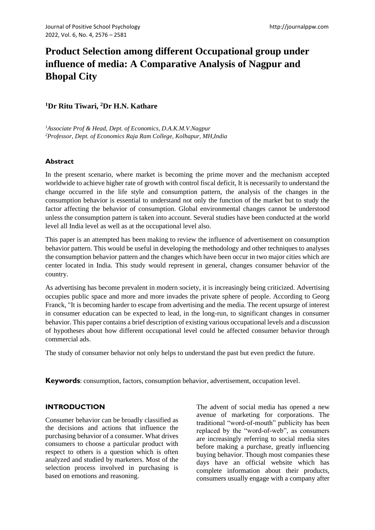# **Product Selection among different Occupational group under influence of media: A Comparative Analysis of Nagpur and Bhopal City**

**<sup>1</sup>Dr Ritu Tiwari, <sup>2</sup>Dr H.N. Kathare**

*<sup>1</sup>Associate Prof & Head, Dept. of Economics, D.A.K.M.V.Nagpur <sup>2</sup>Professor, Dept. of Economics Raja Ram College, Kolhapur, MH,India*

## **Abstract**

In the present scenario, where market is becoming the prime mover and the mechanism accepted worldwide to achieve higher rate of growth with control fiscal deficit, It is necessarily to understand the change occurred in the life style and consumption pattern, the analysis of the changes in the consumption behavior is essential to understand not only the function of the market but to study the factor affecting the behavior of consumption. Global environmental changes cannot be understood unless the consumption pattern is taken into account. Several studies have been conducted at the world level all India level as well as at the occupational level also.

This paper is an attempted has been making to review the influence of advertisement on consumption behavior pattern. This would be useful in developing the methodology and other techniques to analyses the consumption behavior pattern and the changes which have been occur in two major cities which are center located in India. This study would represent in general, changes consumer behavior of the country.

As advertising has become prevalent in modern society, it is increasingly being criticized. Advertising occupies public space and more and more invades the private sphere of people. According to Georg Franck, "It is becoming harder to escape from advertising and the media. The recent upsurge of interest in consumer education can be expected to lead, in the long-run, to significant changes in consumer behavior. This paper contains a brief description of existing various occupational levels and a discussion of hypotheses about how different occupational level could be affected consumer behavior through commercial ads.

The study of consumer behavior not only helps to understand the past but even predict the future.

**Keywords**: consumption, factors, consumption behavior, advertisement, occupation level.

# **INTRODUCTION**

Consumer behavior can be broadly classified as the decisions and actions that influence the purchasing behavior of a consumer. What drives consumers to choose a particular product with respect to others is a question which is often analyzed and studied by marketers. Most of the selection process involved in purchasing is based on emotions and reasoning.

The advent of social media has opened a new avenue of marketing for corporations. The traditional "word-of-mouth" publicity has been replaced by the "word-of-web", as consumers are increasingly referring to social media sites before making a purchase, greatly influencing buying behavior. Though most companies these days have an official website which has complete information about their products, consumers usually engage with a company after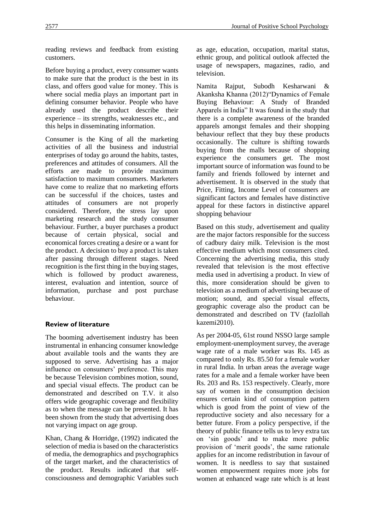reading reviews and feedback from existing customers.

Before buying a product, every consumer wants to make sure that the product is the best in its class, and offers good value for money. This is where social media plays an important part in defining consumer behavior. People who have already used the product describe their experience – its strengths, weaknesses etc., and this helps in disseminating information.

Consumer is the King of all the marketing activities of all the business and industrial enterprises of today go around the habits, tastes, preferences and attitudes of consumers. All the efforts are made to provide maximum satisfaction to maximum consumers. Marketers have come to realize that no marketing efforts can be successful if the choices, tastes and attitudes of consumers are not properly considered. Therefore, the stress lay upon marketing research and the study consumer behaviour. Further, a buyer purchases a product because of certain physical, social and economical forces creating a desire or a want for the product. A decision to buy a product is taken after passing through different stages. Need recognition is the first thing in the buying stages, which is followed by product awareness, interest, evaluation and intention, source of information, purchase and post purchase behaviour.

## **Review of literature**

The booming advertisement industry has been instrumental in enhancing consumer knowledge about available tools and the wants they are supposed to serve. Advertising has a major influence on consumers' preference. This may be because Television combines motion, sound, and special visual effects. The product can be demonstrated and described on T.V. it also offers wide geographic coverage and flexibility as to when the message can be presented. It has been shown from the study that advertising does not varying impact on age group.

Khan, Chang & Horridge, (1992) indicated the selection of media is based on the characteristics of media, the demographics and psychographics of the target market, and the characteristics of the product. Results indicated that selfconsciousness and demographic Variables such as age, education, occupation, marital status, ethnic group, and political outlook affected the usage of newspapers, magazines, radio, and television.

Namita Rajput, Subodh Kesharwani & Akanksha Khanna (2012)"Dynamics of Female Buying Behaviour: A Study of Branded Apparels in India" It was found in the study that there is a complete awareness of the branded apparels amongst females and their shopping behaviour reflect that they buy these products occasionally. The culture is shifting towards buying from the malls because of shopping experience the consumers get. The most important source of information was found to be family and friends followed by internet and advertisement. It is observed in the study that Price, Fitting, Income Level of consumers are significant factors and females have distinctive appeal for these factors in distinctive apparel shopping behaviour

Based on this study, advertisement and quality are the major factors responsible for the success of cadbury dairy milk. Television is the most effective medium which most consumers cited. Concerning the advertising media, this study revealed that television is the most effective media used in advertising a product. In view of this, more consideration should be given to television as a medium of advertising because of motion; sound, and special visual effects, geographic coverage also the product can be demonstrated and described on TV (fazlollah kazemi2010).

As per 2004-05, 61st round NSSO large sample employment-unemployment survey, the average wage rate of a male worker was Rs. 145 as compared to only Rs. 85.50 for a female worker in rural India. In urban areas the average wage rates for a male and a female worker have been Rs. 203 and Rs. 153 respectively. Clearly, more say of women in the consumption decision ensures certain kind of consumption pattern which is good from the point of view of the reproductive society and also necessary for a better future. From a policy perspective, if the theory of public finance tells us to levy extra tax on 'sin goods' and to make more public provision of 'merit goods', the same rationale applies for an income redistribution in favour of women. It is needless to say that sustained women empowerment requires more jobs for women at enhanced wage rate which is at least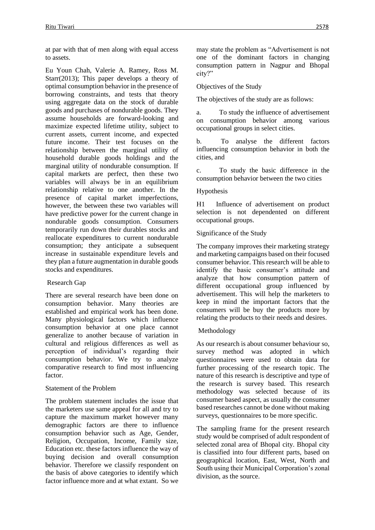at par with that of men along with equal access to assets.

Eu Youn Chah, Valerie A. Ramey, Ross M. Starr(2013); This paper develops a theory of optimal consumption behavior in the presence of borrowing constraints, and tests that theory using aggregate data on the stock of durable goods and purchases of nondurable goods. They assume households are forward-looking and maximize expected lifetime utility, subject to current assets, current income, and expected future income. Their test focuses on the relationship between the marginal utility of household durable goods holdings and the marginal utility of nondurable consumption. If capital markets are perfect, then these two variables will always be in an equilibrium relationship relative to one another. In the presence of capital market imperfections, however, the between these two variables will have predictive power for the current change in nondurable goods consumption. Consumers temporarily run down their durables stocks and reallocate expenditures to current nondurable consumption; they anticipate a subsequent increase in sustainable expenditure levels and they plan a future augmentation in durable goods stocks and expenditures.

## Research Gap

There are several research have been done on consumption behavior. Many theories are established and empirical work has been done. Many physiological factors which influence consumption behavior at one place cannot generalize to another because of variation in cultural and religious differences as well as perception of individual's regarding their consumption behavior. We try to analyze comparative research to find most influencing factor.

#### Statement of the Problem

The problem statement includes the issue that the marketers use same appeal for all and try to capture the maximum market however many demographic factors are there to influence consumption behavior such as Age, Gender, Religion, Occupation, Income, Family size, Education etc. these factors influence the way of buying decision and overall consumption behavior. Therefore we classify respondent on the basis of above categories to identify which factor influence more and at what extant. So we may state the problem as "Advertisement is not one of the dominant factors in changing consumption pattern in Nagpur and Bhopal city?"

#### Objectives of the Study

The objectives of the study are as follows:

a. To study the influence of advertisement on consumption behavior among various occupational groups in select cities.

b. To analyse the different factors influencing consumption behavior in both the cities, and

c. To study the basic difference in the consumption behavior between the two cities

#### Hypothesis

H1 Influence of advertisement on product selection is not dependented on different occupational groups.

#### Significance of the Study

The company improves their marketing strategy and marketing campaigns based on their focused consumer behavior. This research will be able to identify the basic consumer's attitude and analyze that how consumption pattern of different occupational group influenced by advertisement. This will help the marketers to keep in mind the important factors that the consumers will be buy the products more by relating the products to their needs and desires.

#### Methodology

As our research is about consumer behaviour so, survey method was adopted in which questionnaires were used to obtain data for further processing of the research topic. The nature of this research is descriptive and type of the research is survey based. This research methodology was selected because of its consumer based aspect, as usually the consumer based researches cannot be done without making surveys, questionnaires to be more specific.

The sampling frame for the present research study would be comprised of adult respondent of selected zonal area of Bhopal city. Bhopal city is classified into four different parts, based on geographical location, East, West, North and South using their Municipal Corporation's zonal division, as the source.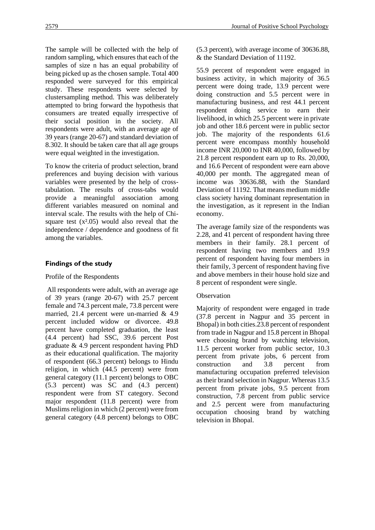The sample will be collected with the help of random sampling, which ensures that each of the samples of size n has an equal probability of being picked up as the chosen sample. Total 400 responded were surveyed for this empirical study. These respondents were selected by clustersampling method. This was deliberately attempted to bring forward the hypothesis that consumers are treated equally irrespective of their social position in the society. All respondents were adult, with an average age of 39 years (range 20-67) and standard deviation of 8.302. It should be taken care that all age groups were equal weighted in the investigation.

To know the criteria of product selection, brand preferences and buying decision with various variables were presented by the help of crosstabulation. The results of cross-tabs would provide a meaningful association among different variables measured on nominal and interval scale. The results with the help of Chisquare test  $(x<sup>2</sup>.05)$  would also reveal that the independence / dependence and goodness of fit among the variables.

## **Findings of the study**

#### Profile of the Respondents

All respondents were adult, with an average age of 39 years (range 20-67) with 25.7 percent female and 74.3 percent male, 73.8 percent were married, 21.4 percent were un-married & 4.9 percent included widow or divorcee. 49.8 percent have completed graduation, the least (4.4 percent) had SSC, 39.6 percent Post graduate & 4.9 percent respondent having PhD as their educational qualification. The majority of respondent (66.3 percent) belongs to Hindu religion, in which (44.5 percent) were from general category (11.1 percent) belongs to OBC (5.3 percent) was SC and (4.3 percent) respondent were from ST category. Second major respondent (11.8 percent) were from Muslims religion in which (2 percent) were from general category (4.8 percent) belongs to OBC (5.3 percent), with average income of 30636.88, & the Standard Deviation of 11192.

55.9 percent of respondent were engaged in business activity, in which majority of 36.5 percent were doing trade, 13.9 percent were doing construction and 5.5 percent were in manufacturing business, and rest 44.1 percent respondent doing service to earn their livelihood, in which 25.5 percent were in private job and other 18.6 percent were in public sector job. The majority of the respondents 61.6 percent were encompass monthly household income INR 20,000 to INR 40,000, followed by 21.8 percent respondent earn up to Rs. 20,000, and 16.6 Percent of respondent were earn above 40,000 per month. The aggregated mean of income was 30636.88, with the Standard Deviation of 11192. That means medium middle class society having dominant representation in the investigation, as it represent in the Indian economy.

The average family size of the respondents was 2.28, and 41 percent of respondent having three members in their family. 28.1 percent of respondent having two members and 19.9 percent of respondent having four members in their family, 3 percent of respondent having five and above members in their house hold size and 8 percent of respondent were single.

#### **Observation**

Majority of respondent were engaged in trade (37.8 percent in Nagpur and 35 percent in Bhopal) in both cities.23.8 percent of respondent from trade in Nagpur and 15.8 percent in Bhopal were choosing brand by watching television, 11.5 percent worker from public sector, 10.3 percent from private jobs, 6 percent from construction and 3.8 percent from manufacturing occupation preferred television as their brand selection in Nagpur. Whereas 13.5 percent from private jobs, 9.5 percent from construction, 7.8 percent from public service and 2.5 percent were from manufacturing occupation choosing brand by watching television in Bhopal.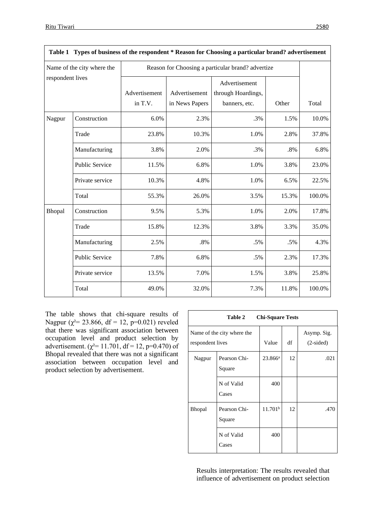| ،ر |
|----|
|    |
|    |
|    |
|    |

٦

| Table 1 Types of business of the respondent * Reason for Choosing a particular brand? advertisement |                       |                                                   |                                 |                                                      |        |        |  |  |
|-----------------------------------------------------------------------------------------------------|-----------------------|---------------------------------------------------|---------------------------------|------------------------------------------------------|--------|--------|--|--|
| Name of the city where the<br>respondent lives                                                      |                       | Reason for Choosing a particular brand? advertize |                                 |                                                      |        |        |  |  |
|                                                                                                     |                       | Advertisement<br>in T.V.                          | Advertisement<br>in News Papers | Advertisement<br>through Hoardings,<br>banners, etc. | Other  | Total  |  |  |
| Nagpur                                                                                              | Construction          | 6.0%                                              | 2.3%                            | .3%                                                  | 1.5%   | 10.0%  |  |  |
|                                                                                                     | Trade                 | 23.8%                                             | 10.3%                           | 1.0%                                                 | 2.8%   | 37.8%  |  |  |
|                                                                                                     | Manufacturing         | 3.8%                                              | 2.0%                            | .3%                                                  | $.8\%$ | 6.8%   |  |  |
|                                                                                                     | <b>Public Service</b> | 11.5%                                             | 6.8%                            | 1.0%                                                 | 3.8%   | 23.0%  |  |  |
|                                                                                                     | Private service       | 10.3%                                             | 4.8%                            | 1.0%                                                 | 6.5%   | 22.5%  |  |  |
|                                                                                                     | Total                 | 55.3%                                             | 26.0%                           | 3.5%                                                 | 15.3%  | 100.0% |  |  |
| Bhopal                                                                                              | Construction          | 9.5%                                              | 5.3%                            | 1.0%                                                 | 2.0%   | 17.8%  |  |  |
|                                                                                                     | Trade                 | 15.8%                                             | 12.3%                           | 3.8%                                                 | 3.3%   | 35.0%  |  |  |
|                                                                                                     | Manufacturing         | 2.5%                                              | $.8\%$                          | .5%                                                  | .5%    | 4.3%   |  |  |
|                                                                                                     | Public Service        | 7.8%                                              | 6.8%                            | .5%                                                  | 2.3%   | 17.3%  |  |  |
|                                                                                                     | Private service       | 13.5%                                             | 7.0%                            | 1.5%                                                 | 3.8%   | 25.8%  |  |  |
|                                                                                                     | Total                 | 49.0%                                             | 32.0%                           | 7.3%                                                 | 11.8%  | 100.0% |  |  |

The table shows that chi-square results of Nagpur ( $\chi^2$  = 23.866, df = 12, p=0.021) reveled that there was significant association between occupation level and product selection by advertisement. ( $\chi^2$ = 11.701, df = 12, p=0.470) of Bhopal revealed that there was not a significant association between occupation level and product selection by advertisement.

| Table 2<br><b>Chi-Square Tests</b>             |                        |                     |                            |      |  |  |  |
|------------------------------------------------|------------------------|---------------------|----------------------------|------|--|--|--|
| Name of the city where the<br>respondent lives | Value                  | df                  | Asymp. Sig.<br>$(2-sided)$ |      |  |  |  |
| Nagpur                                         | Pearson Chi-<br>Square | $23.866^a$          | 12                         | .021 |  |  |  |
|                                                | N of Valid<br>Cases    | 400                 |                            |      |  |  |  |
| <b>Bhopal</b>                                  | Pearson Chi-<br>Square | 11.701 <sup>b</sup> | 12                         | .470 |  |  |  |
|                                                | N of Valid<br>Cases    | 400                 |                            |      |  |  |  |

Results interpretation: The results revealed that influence of advertisement on product selection